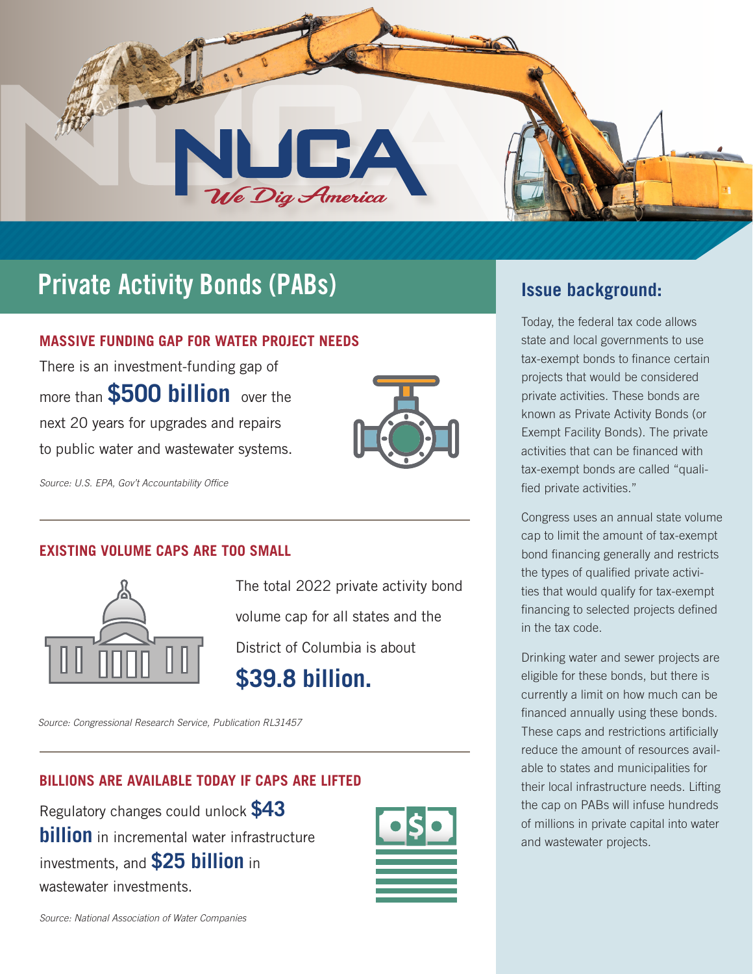

# **Private Activity Bonds (PABs) Issue background:**

### **MASSIVE FUNDING GAP FOR WATER PROJECT NEEDS**

There is an investment-funding gap of more than **\$500 billion** over the next 20 years for upgrades and repairs to public water and wastewater systems.



*Source: U.S. EPA, Gov't Accountability Office*

### **EXISTING VOLUME CAPS ARE TOO SMALL**



The total 2022 private activity bond volume cap for all states and the District of Columbia is about **\$39.8 billion.**

*Source: Congressional Research Service, Publication RL31457*

### **BILLIONS ARE AVAILABLE TODAY IF CAPS ARE LIFTED**

Regulatory changes could unlock **\$43 billion** in incremental water infrastructure investments, and **\$25 billion** in wastewater investments.



Today, the federal tax code allows state and local governments to use tax-exempt bonds to finance certain projects that would be considered private activities. These bonds are known as Private Activity Bonds (or Exempt Facility Bonds). The private activities that can be financed with tax-exempt bonds are called "qualified private activities."

Congress uses an annual state volume cap to limit the amount of tax-exempt bond financing generally and restricts the types of qualified private activities that would qualify for tax-exempt financing to selected projects defined in the tax code.

Drinking water and sewer projects are eligible for these bonds, but there is currently a limit on how much can be financed annually using these bonds. These caps and restrictions artificially reduce the amount of resources available to states and municipalities for their local infrastructure needs. Lifting the cap on PABs will infuse hundreds of millions in private capital into water and wastewater projects.